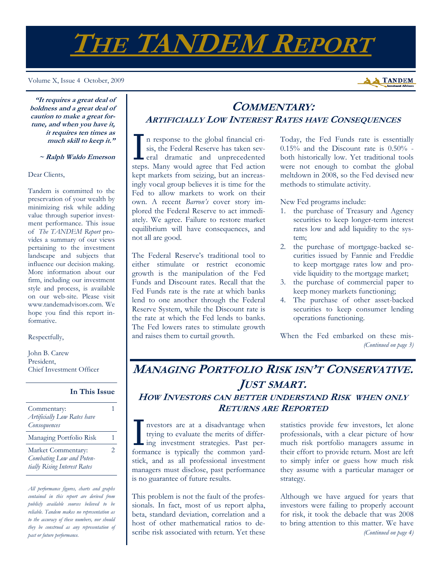# **THE TANDEM REPORT**

Volume X, Issue 4 October, 2009



**"It requires a great deal of boldness and a great deal of caution to make a great fortune, and when you have it, it requires ten times as much skill to keep it."** 

 **~ Ralph Waldo Emerson**

Dear Clients,

Tandem is committed to the preservation of your wealth by minimizing risk while adding value through superior investment performance. This issue of *The TANDEM Report* provides a summary of our views pertaining to the investment landscape and subjects that influence our decision making. More information about our firm, including our investment style and process, is available on our web-site. Please visit www.tandemadvisors.com. We hope you find this report informative.

Respectfully,

John B. Carew President, Chief Investment Officer

**In This Issue**

| Commentary:<br>Artificially Low Rates have<br>Consequences                     |   |
|--------------------------------------------------------------------------------|---|
| Managing Portfolio Risk                                                        |   |
| Market Commentary:<br>Combating Low and Poten-<br>tially Rising Interest Rates | 2 |

*All performance figures, charts and graphs contained in this report are derived from publicly available sources believed to be reliable. Tandem makes no representation as to the accuracy of these numbers, nor should they be construed as any representation of past or future performance.* 

# **COMMENTARY: ARTIFICIALLY LOW INTEREST RATES HAVE CONSEQUENCES**

I n response to the global financial crisis, the Federal Reserve has taken several dramatic and unprecedented sis, the Federal Reserve has taken sevsteps. Many would agree that Fed action kept markets from seizing, but an increasingly vocal group believes it is time for the Fed to allow markets to work on their own. A recent *Barron's* cover story implored the Federal Reserve to act immediately. We agree. Failure to restore market equilibrium will have consequences, and not all are good.

The Federal Reserve's traditional tool to either stimulate or restrict economic growth is the manipulation of the Fed Funds and Discount rates. Recall that the Fed Funds rate is the rate at which banks lend to one another through the Federal Reserve System, while the Discount rate is the rate at which the Fed lends to banks. The Fed lowers rates to stimulate growth and raises them to curtail growth.

Today, the Fed Funds rate is essentially  $0.15\%$  and the Discount rate is  $0.50\%$  both historically low. Yet traditional tools were not enough to combat the global meltdown in 2008, so the Fed devised new methods to stimulate activity.

New Fed programs include:

- 1. the purchase of Treasury and Agency securities to keep longer-term interest rates low and add liquidity to the system;
- 2. the purchase of mortgage-backed securities issued by Fannie and Freddie to keep mortgage rates low and provide liquidity to the mortgage market;
- 3. the purchase of commercial paper to keep money markets functioning;
- 4. The purchase of other asset-backed securities to keep consumer lending operations functioning.

When the Fed embarked on these mis- *(Continued on page 3)* 

## **MANAGING PORTFOLIO RISK ISN'T CONSERVATIVE. JUST SMART. HOW INVESTORS CAN BETTER UNDERSTAND RISK WHEN ONLY RETURNS ARE REPORTED**

I nvestors are at a disadvantage when<br>trying to evaluate the merits of differ-<br>ing investment strategies. Past per-<br>fermanage is trainedly the common ward trying to evaluate the merits of differformance is typically the common yardstick, and as all professional investment managers must disclose, past performance is no guarantee of future results.

This problem is not the fault of the professionals. In fact, most of us report alpha, beta, standard deviation, correlation and a host of other mathematical ratios to describe risk associated with return. Yet these statistics provide few investors, let alone professionals, with a clear picture of how much risk portfolio managers assume in their effort to provide return. Most are left to simply infer or guess how much risk they assume with a particular manager or strategy.

Although we have argued for years that investors were failing to properly account for risk, it took the debacle that was 2008 to bring attention to this matter. We have *(Continued on page 4)*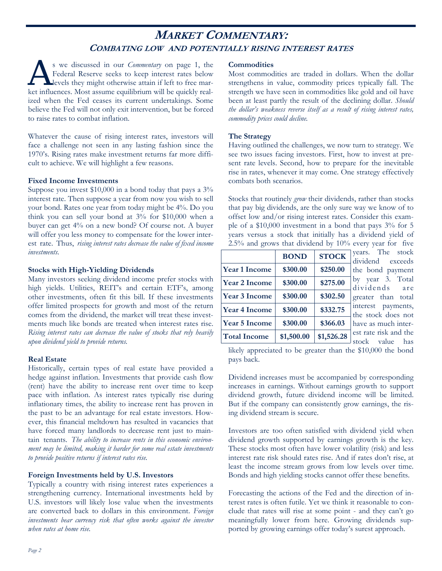## **MARKET COMMENTARY: COMBATING LOW AND POTENTIALLY RISING INTEREST RATES**

s we discussed in our *Commentary* on page 1, the Federal Reserve seeks to keep interest rates below levels they might otherwise attain if left to free market influences. Most assume equilibrium will be quickly realized when the Fed ceases its current undertakings. Some believe the Fed will not only exit intervention, but be forced to raise rates to combat inflation.

Whatever the cause of rising interest rates, investors will face a challenge not seen in any lasting fashion since the 1970's. Rising rates make investment returns far more difficult to achieve. We will highlight a few reasons.

#### **Fixed Income Investments**

Suppose you invest  $$10,000$  in a bond today that pays a  $3\%$ interest rate. Then suppose a year from now you wish to sell your bond. Rates one year from today might be 4%. Do you think you can sell your bond at 3% for \$10,000 when a buyer can get 4% on a new bond? Of course not. A buyer will offer you less money to compensate for the lower interest rate. Thus, *rising interest rates decrease the value of fixed income investments.* 

#### **Stocks with High-Yielding Dividends**

Many investors seeking dividend income prefer stocks with high yields. Utilities, REIT's and certain ETF's, among other investments, often fit this bill. If these investments offer limited prospects for growth and most of the return comes from the dividend, the market will treat these investments much like bonds are treated when interest rates rise. *Rising interest rates can decrease the value of stocks that rely heavily upon dividend yield to provide returns.* 

#### **Real Estate**

Historically, certain types of real estate have provided a hedge against inflation. Investments that provide cash flow (rent) have the ability to increase rent over time to keep pace with inflation. As interest rates typically rise during inflationary times, the ability to increase rent has proven in the past to be an advantage for real estate investors. However, this financial meltdown has resulted in vacancies that have forced many landlords to decrease rent just to maintain tenants. *The ability to increase rents in this economic environment may be limited, making it harder for some real estate investments to provide positive returns if interest rates rise.* 

#### **Foreign Investments held by U.S. Investors**

Typically a country with rising interest rates experiences a strengthening currency. International investments held by U.S. investors will likely lose value when the investments are converted back to dollars in this environment. *Foreign investments bear currency risk that often works against the investor when rates at home rise.* 

#### **Commodities**

Most commodities are traded in dollars. When the dollar strengthens in value, commodity prices typically fall. The strength we have seen in commodities like gold and oil have been at least partly the result of the declining dollar. *Should the dollar's weakness reverse itself as a result of rising interest rates, commodity prices could decline.* 

#### **The Strategy**

Having outlined the challenges, we now turn to strategy. We see two issues facing investors. First, how to invest at present rate levels. Second, how to prepare for the inevitable rise in rates, whenever it may come. One strategy effectively combats both scenarios.

Stocks that routinely *grow* their dividends, rather than stocks that pay big dividends, are the only sure way we know of to offset low and/or rising interest rates. Consider this example of a \$10,000 investment in a bond that pays 3% for 5 years versus a stock that initially has a dividend yield of 2.5% and grows that dividend by 10% every year for five

|                      | <b>BOND</b> | <b>STOCK</b> |
|----------------------|-------------|--------------|
| <b>Year 1 Income</b> | \$300.00    | \$250.00     |
| <b>Year 2 Income</b> | \$300.00    | \$275.00     |
| <b>Year 3 Income</b> | \$300.00    | \$302.50     |
| <b>Year 4 Income</b> | \$300.00    | \$332.75     |
| <b>Year 5 Income</b> | \$300.00    | \$366.03     |
| <b>Total Income</b>  | \$1,500.00  | \$1,526.28   |

years. The stock dividend exceeds the bond payment by year 3. Total dividends are greater than total interest payments, the stock does not have as much interest rate risk and the stock value has

likely appreciated to be greater than the \$10,000 the bond pays back.

Dividend increases must be accompanied by corresponding increases in earnings. Without earnings growth to support dividend growth, future dividend income will be limited. But if the company can consistently grow earnings, the rising dividend stream is secure.

Investors are too often satisfied with dividend yield when dividend growth supported by earnings growth is the key. These stocks most often have lower volatility (risk) and less interest rate risk should rates rise. And if rates don't rise, at least the income stream grows from low levels over time. Bonds and high yielding stocks cannot offer these benefits.

Forecasting the actions of the Fed and the direction of interest rates is often futile. Yet we think it reasonable to conclude that rates will rise at some point - and they can't go meaningfully lower from here. Growing dividends supported by growing earnings offer today's surest approach.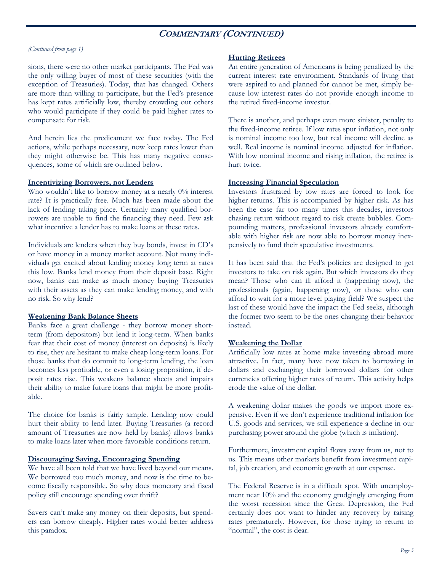### **COMMENTARY (CONTINUED)**

#### *(Continued from page 1)*

sions, there were no other market participants. The Fed was the only willing buyer of most of these securities (with the exception of Treasuries). Today, that has changed. Others are more than willing to participate, but the Fed's presence has kept rates artificially low, thereby crowding out others who would participate if they could be paid higher rates to compensate for risk.

And herein lies the predicament we face today. The Fed actions, while perhaps necessary, now keep rates lower than they might otherwise be. This has many negative consequences, some of which are outlined below.

#### **Incentivizing Borrowers, not Lenders**

Who wouldn't like to borrow money at a nearly 0% interest rate? It is practically free. Much has been made about the lack of lending taking place. Certainly many qualified borrowers are unable to find the financing they need. Few ask what incentive a lender has to make loans at these rates.

Individuals are lenders when they buy bonds, invest in CD's or have money in a money market account. Not many individuals get excited about lending money long term at rates this low. Banks lend money from their deposit base. Right now, banks can make as much money buying Treasuries with their assets as they can make lending money, and with no risk. So why lend?

#### **Weakening Bank Balance Sheets**

Banks face a great challenge - they borrow money shortterm (from depositors) but lend it long-term. When banks fear that their cost of money (interest on deposits) is likely to rise, they are hesitant to make cheap long-term loans. For those banks that do commit to long-term lending, the loan becomes less profitable, or even a losing proposition, if deposit rates rise. This weakens balance sheets and impairs their ability to make future loans that might be more profitable.

The choice for banks is fairly simple. Lending now could hurt their ability to lend later. Buying Treasuries (a record amount of Treasuries are now held by banks) allows banks to make loans later when more favorable conditions return.

#### **Discouraging Saving, Encouraging Spending**

We have all been told that we have lived beyond our means. We borrowed too much money, and now is the time to become fiscally responsible. So why does monetary and fiscal policy still encourage spending over thrift?

Savers can't make any money on their deposits, but spenders can borrow cheaply. Higher rates would better address this paradox.

#### **Hurting Retirees**

An entire generation of Americans is being penalized by the current interest rate environment. Standards of living that were aspired to and planned for cannot be met, simply because low interest rates do not provide enough income to the retired fixed-income investor.

There is another, and perhaps even more sinister, penalty to the fixed-income retiree. If low rates spur inflation, not only is nominal income too low, but real income will decline as well. Real income is nominal income adjusted for inflation. With low nominal income and rising inflation, the retiree is hurt twice.

#### **Increasing Financial Speculation**

Investors frustrated by low rates are forced to look for higher returns. This is accompanied by higher risk. As has been the case far too many times this decades, investors chasing return without regard to risk create bubbles. Compounding matters, professional investors already comfortable with higher risk are now able to borrow money inexpensively to fund their speculative investments.

It has been said that the Fed's policies are designed to get investors to take on risk again. But which investors do they mean? Those who can ill afford it (happening now), the professionals (again, happening now), or those who can afford to wait for a more level playing field? We suspect the last of these would have the impact the Fed seeks, although the former two seem to be the ones changing their behavior instead.

#### **Weakening the Dollar**

Artificially low rates at home make investing abroad more attractive. In fact, many have now taken to borrowing in dollars and exchanging their borrowed dollars for other currencies offering higher rates of return. This activity helps erode the value of the dollar.

A weakening dollar makes the goods we import more expensive. Even if we don't experience traditional inflation for U.S. goods and services, we still experience a decline in our purchasing power around the globe (which is inflation).

Furthermore, investment capital flows away from us, not to us. This means other markets benefit from investment capital, job creation, and economic growth at our expense.

The Federal Reserve is in a difficult spot. With unemployment near 10% and the economy grudgingly emerging from the worst recession since the Great Depression, the Fed certainly does not want to hinder any recovery by raising rates prematurely. However, for those trying to return to "normal", the cost is dear.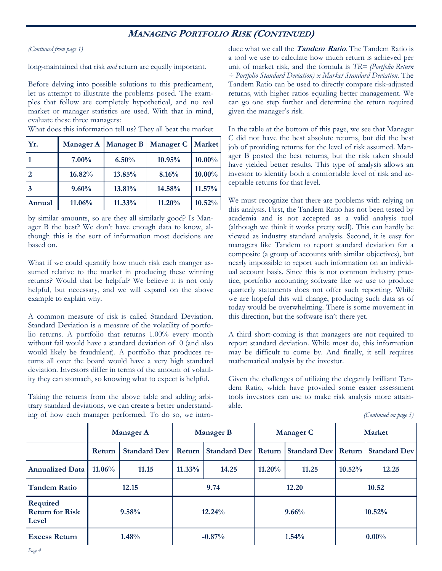## **MANAGING PORTFOLIO RISK (CONTINUED)**

*(Continued from page 1)* 

long-maintained that risk *and* return are equally important.

Before delving into possible solutions to this predicament, let us attempt to illustrate the problems posed. The examples that follow are completely hypothetical, and no real market or manager statistics are used. With that in mind, evaluate these three managers:

| Yr.    | <b>Manager A</b> | <b>Manager B</b> | <b>Manager C</b> | Market    |
|--------|------------------|------------------|------------------|-----------|
|        | $7.00\%$         | $6.50\%$         | 10.95%           | $10.00\%$ |
| 2      | 16.82%           | 13.85%           | 8.16%            | $10.00\%$ |
|        | 9.60%            | 13.81%           | 14.58%           | 11.57%    |
| Annual | 11.06%           | $11.33\%$        | 11.20%           | 10.52%    |

What does this information tell us? They all beat the market

by similar amounts, so are they all similarly good? Is Manager B the best? We don't have enough data to know, although this is the sort of information most decisions are based on.

What if we could quantify how much risk each manger assumed relative to the market in producing these winning returns? Would that be helpful? We believe it is not only helpful, but necessary, and we will expand on the above example to explain why.

A common measure of risk is called Standard Deviation. Standard Deviation is a measure of the volatility of portfolio returns. A portfolio that returns 1.00% every month without fail would have a standard deviation of 0 (and also would likely be fraudulent). A portfolio that produces returns all over the board would have a very high standard deviation. Investors differ in terms of the amount of volatility they can stomach, so knowing what to expect is helpful.

Taking the returns from the above table and adding arbitrary standard deviations, we can create a better understanding of how each manager performed. To do so, we introduce what we call the **Tandem Ratio**. The Tandem Ratio is a tool we use to calculate how much return is achieved per unit of market risk, and the formula is *TR= (Portfolio Return ÷ Portfolio Standard Deviation) x Market Standard Deviation.* The Tandem Ratio can be used to directly compare risk-adjusted returns*,* with higher ratios equaling better management. We can go one step further and determine the return required given the manager's risk.

In the table at the bottom of this page, we see that Manager C did not have the best absolute returns, but did the best job of providing returns for the level of risk assumed. Manager B posted the best returns, but the risk taken should have yielded better results. This type of analysis allows an investor to identify both a comfortable level of risk and acceptable returns for that level.

We must recognize that there are problems with relying on this analysis. First, the Tandem Ratio has not been tested by academia and is not accepted as a valid analysis tool (although we think it works pretty well). This can hardly be viewed as industry standard analysis. Second, it is easy for managers like Tandem to report standard deviation for a composite (a group of accounts with similar objectives), but nearly impossible to report such information on an individual account basis. Since this is not common industry practice, portfolio accounting software like we use to produce quarterly statements does not offer such reporting. While we are hopeful this will change, producing such data as of today would be overwhelming. There is some movement in this direction, but the software isn't there yet.

A third short-coming is that managers are not required to report standard deviation. While most do, this information may be difficult to come by. And finally, it still requires mathematical analysis by the investor.

Given the challenges of utilizing the elegantly brilliant Tandem Ratio, which have provided some easier assessment tools investors can use to make risk analysis more attainable.

| (Continued on page 5) |  |
|-----------------------|--|
|-----------------------|--|

|                                                    | <b>Manager A</b> |                     | <b>Manager B</b> |       | <b>Manager C</b>                                            |       | <b>Market</b> |       |
|----------------------------------------------------|------------------|---------------------|------------------|-------|-------------------------------------------------------------|-------|---------------|-------|
|                                                    | Return           | <b>Standard Dev</b> |                  |       | Return Standard Dev Return Standard Dev Return Standard Dev |       |               |       |
| <b>Annualized Data</b>                             | $11.06\%$        | 11.15               | $11.33\%$        | 14.25 | $11.20\%$                                                   | 11.25 | $10.52\%$     | 12.25 |
| <b>Tandem Ratio</b>                                | 12.15            |                     | 9.74             |       | 12.20                                                       |       | 10.52         |       |
| <b>Required</b><br><b>Return for Risk</b><br>Level | 9.58%            |                     | 12.24%           |       | 9.66%                                                       |       | 10.52%        |       |
| <b>Excess Return</b>                               | 1.48%            |                     | $-0.87%$         |       | 1.54%                                                       |       | $0.00\%$      |       |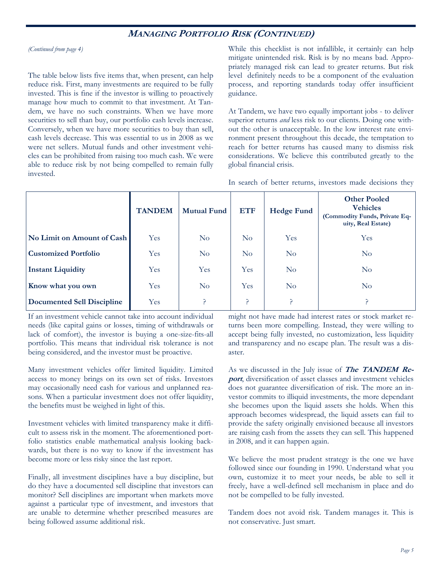## **MANAGING PORTFOLIO RISK (CONTINUED)**

*(Continued from page 4)* 

The table below lists five items that, when present, can help reduce risk. First, many investments are required to be fully invested. This is fine if the investor is willing to proactively manage how much to commit to that investment. At Tandem, we have no such constraints. When we have more securities to sell than buy, our portfolio cash levels increase. Conversely, when we have more securities to buy than sell, cash levels decrease. This was essential to us in 2008 as we were net sellers. Mutual funds and other investment vehicles can be prohibited from raising too much cash. We were able to reduce risk by not being compelled to remain fully invested.

While this checklist is not infallible, it certainly can help mitigate unintended risk. Risk is by no means bad. Appropriately managed risk can lead to greater returns. But risk level definitely needs to be a component of the evaluation process, and reporting standards today offer insufficient guidance.

At Tandem, we have two equally important jobs - to deliver superior returns *and* less risk to our clients. Doing one without the other is unacceptable. In the low interest rate environment present throughout this decade, the temptation to reach for better returns has caused many to dismiss risk considerations. We believe this contributed greatly to the global financial crisis.

In search of better returns, investors made decisions they

|                             | <b>TANDEM</b> | <b>Mutual Fund</b> | <b>ETF</b> | <b>Hedge Fund</b> | <b>Other Pooled</b><br><b>Vehicles</b><br>(Commodity Funds, Private Eq-<br>uity, Real Estate) |
|-----------------------------|---------------|--------------------|------------|-------------------|-----------------------------------------------------------------------------------------------|
| No Limit on Amount of Cash  | <b>Yes</b>    | $\rm No$           | $\rm No$   | <b>Yes</b>        | <b>Yes</b>                                                                                    |
| <b>Customized Portfolio</b> | Yes           | N <sub>o</sub>     | $\rm No$   | $\rm No$          | $\rm No$                                                                                      |
| <b>Instant Liquidity</b>    | Yes           | <b>Yes</b>         | Yes        | $\rm No$          | $\rm No$                                                                                      |
| Know what you own           | Yes           | $\rm No$           | <b>Yes</b> | $\rm No$          | $\rm No$                                                                                      |
| Documented Sell Discipline  | Yes           |                    | ?          |                   |                                                                                               |

If an investment vehicle cannot take into account individual needs (like capital gains or losses, timing of withdrawals or lack of comfort), the investor is buying a one-size-fits-all portfolio. This means that individual risk tolerance is not being considered, and the investor must be proactive.

Many investment vehicles offer limited liquidity. Limited access to money brings on its own set of risks. Investors may occasionally need cash for various and unplanned reasons. When a particular investment does not offer liquidity, the benefits must be weighed in light of this.

Investment vehicles with limited transparency make it difficult to assess risk in the moment. The aforementioned portfolio statistics enable mathematical analysis looking backwards, but there is no way to know if the investment has become more or less risky since the last report.

Finally, all investment disciplines have a buy discipline, but do they have a documented sell discipline that investors can monitor? Sell disciplines are important when markets move against a particular type of investment, and investors that are unable to determine whether prescribed measures are being followed assume additional risk.

might not have made had interest rates or stock market returns been more compelling. Instead, they were willing to accept being fully invested, no customization, less liquidity and transparency and no escape plan. The result was a disaster.

As we discussed in the July issue of **The TANDEM Report**, diversification of asset classes and investment vehicles does not guarantee diversification of risk. The more an investor commits to illiquid investments, the more dependant she becomes upon the liquid assets she holds. When this approach becomes widespread, the liquid assets can fail to provide the safety originally envisioned because all investors are raising cash from the assets they can sell. This happened in 2008, and it can happen again.

We believe the most prudent strategy is the one we have followed since our founding in 1990. Understand what you own, customize it to meet your needs, be able to sell it freely, have a well-defined sell mechanism in place and do not be compelled to be fully invested.

Tandem does not avoid risk. Tandem manages it. This is not conservative. Just smart.